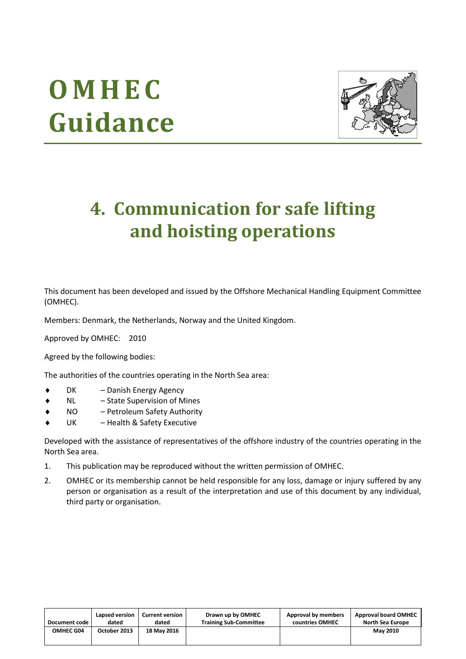# **O M H E C Guidance**



# **4. Communication for safe lifting and hoisting operations**

This document has been developed and issued by the Offshore Mechanical Handling Equipment Committee (OMHEC).

Members: Denmark, the Netherlands, Norway and the United Kingdom.

Approved by OMHEC: 2010

Agreed by the following bodies:

The authorities of the countries operating in the North Sea area:

- DK Danish Energy Agency
- NL State Supervision of Mines
- NO Petroleum Safety Authority
- UK Health & Safety Executive

Developed with the assistance of representatives of the offshore industry of the countries operating in the North Sea area.

- 1. This publication may be reproduced without the written permission of OMHEC.
- 2. OMHEC or its membership cannot be held responsible for any loss, damage or injury suffered by any person or organisation as a result of the interpretation and use of this document by any individual, third party or organisation.

| Document code    | Lapsed version | Current version | Drawn up by OMHEC             | Approval by members | <b>Approval board OMHEC</b> |
|------------------|----------------|-----------------|-------------------------------|---------------------|-----------------------------|
|                  | dated          | dated           | <b>Training Sub-Committee</b> | countries OMHEC     | North Sea Europe            |
| <b>OMHEC G04</b> | October 2013   | 18 May 2016     |                               |                     | <b>May 2010</b>             |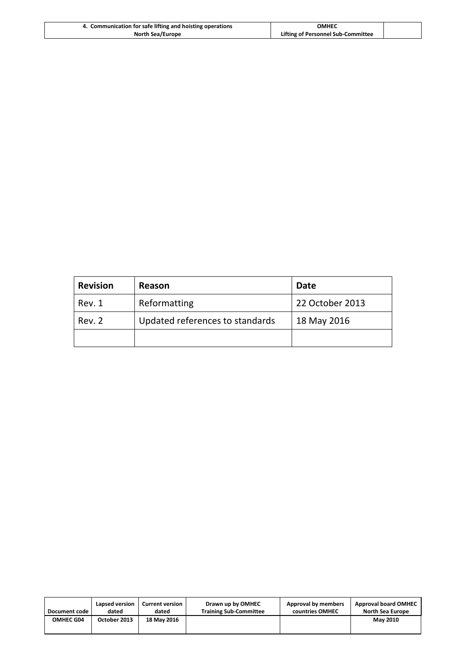| 4. Communication for safe lifting and hoisting operations | ОМНЕС                              |  |
|-----------------------------------------------------------|------------------------------------|--|
| <b>North Sea/Europe</b>                                   | Lifting of Personnel Sub-Committee |  |

| <b>Revision</b> | Reason                          | <b>Date</b>     |
|-----------------|---------------------------------|-----------------|
| Rev. 1          | Reformatting                    | 22 October 2013 |
| Rev. 2          | Updated references to standards | 18 May 2016     |
|                 |                                 |                 |

| Document code | Lapsed version | <b>Current version</b> | Drawn up by OMHEC             | Approval by members | <b>Approval board OMHEC</b> |
|---------------|----------------|------------------------|-------------------------------|---------------------|-----------------------------|
|               | dated          | dated                  | <b>Training Sub-Committee</b> | countries OMHEC     | <b>North Sea Europe</b>     |
| OMHEC G04     | October 2013   | <b>18 May 2016</b>     |                               |                     | <b>May 2010</b>             |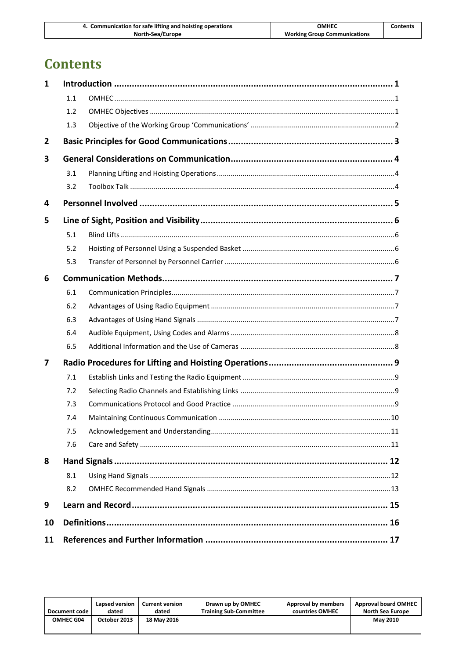| 4. Communication for safe lifting and hoisting operations |                                     |          |
|-----------------------------------------------------------|-------------------------------------|----------|
|                                                           | ОМНЕС                               | Contents |
| North-Sea/Europe                                          | <b>Working Group Communications</b> |          |

# **Contents**

| 1  |     |  |
|----|-----|--|
|    | 1.1 |  |
|    | 1.2 |  |
|    | 1.3 |  |
| 2  |     |  |
| 3  |     |  |
|    | 3.1 |  |
|    | 3.2 |  |
| 4  |     |  |
| 5  |     |  |
|    | 5.1 |  |
|    | 5.2 |  |
|    | 5.3 |  |
| 6  |     |  |
|    | 6.1 |  |
|    | 6.2 |  |
|    | 6.3 |  |
|    | 6.4 |  |
|    | 6.5 |  |
| 7  |     |  |
|    | 7.1 |  |
|    | 7.2 |  |
|    | 7.3 |  |
|    | 7.4 |  |
|    | 7.5 |  |
|    | 7.6 |  |
| 8  |     |  |
|    | 8.1 |  |
|    | 8.2 |  |
| 9  |     |  |
| 10 |     |  |
| 11 |     |  |

| Document code    | Lapsed version | <b>Current version</b> | Drawn up by OMHEC             | Approval by members | <b>Approval board OMHEC</b> |
|------------------|----------------|------------------------|-------------------------------|---------------------|-----------------------------|
|                  | dated          | dated                  | <b>Training Sub-Committee</b> | countries OMHEC     | North Sea Europe            |
| <b>OMHEC G04</b> | October 2013   | <b>18 May 2016</b>     |                               |                     | <b>May 2010</b>             |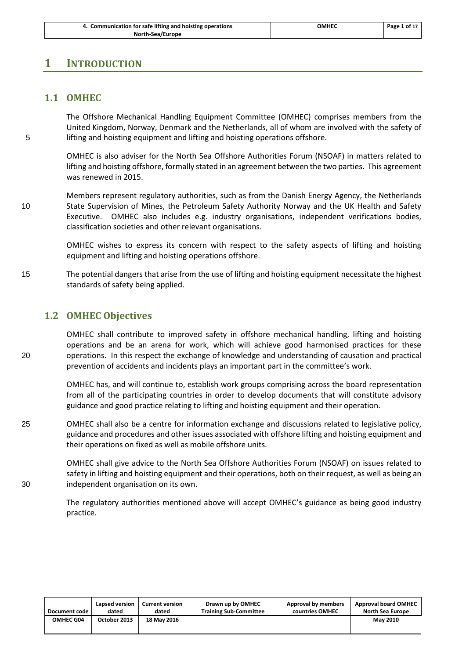| 4. Communication for safe lifting and hoisting operations | ОМНЕС | Page 1 of 17 |
|-----------------------------------------------------------|-------|--------------|
| North-Sea/Europe                                          |       |              |

#### <span id="page-3-1"></span><span id="page-3-0"></span>**1 INTRODUCTION**

#### **1.1 OMHEC**

The Offshore Mechanical Handling Equipment Committee (OMHEC) comprises members from the United Kingdom, Norway, Denmark and the Netherlands, all of whom are involved with the safety of 5 lifting and hoisting equipment and lifting and hoisting operations offshore.

> OMHEC is also adviser for the North Sea Offshore Authorities Forum (NSOAF) in matters related to lifting and hoisting offshore, formally stated in an agreement between the two parties. This agreement was renewed in 2015.

Members represent regulatory authorities, such as from the Danish Energy Agency, the Netherlands 10 State Supervision of Mines, the Petroleum Safety Authority Norway and the UK Health and Safety Executive. OMHEC also includes e.g. industry organisations, independent verifications bodies, classification societies and other relevant organisations.

> OMHEC wishes to express its concern with respect to the safety aspects of lifting and hoisting equipment and lifting and hoisting operations offshore.

15 The potential dangers that arise from the use of lifting and hoisting equipment necessitate the highest standards of safety being applied.

#### <span id="page-3-2"></span>**1.2 OMHEC Objectives**

OMHEC shall contribute to improved safety in offshore mechanical handling, lifting and hoisting operations and be an arena for work, which will achieve good harmonised practices for these 20 operations. In this respect the exchange of knowledge and understanding of causation and practical prevention of accidents and incidents plays an important part in the committee's work.

> OMHEC has, and will continue to, establish work groups comprising across the board representation from all of the participating countries in order to develop documents that will constitute advisory guidance and good practice relating to lifting and hoisting equipment and their operation.

25 OMHEC shall also be a centre for information exchange and discussions related to legislative policy, guidance and procedures and other issues associated with offshore lifting and hoisting equipment and their operations on fixed as well as mobile offshore units.

OMHEC shall give advice to the North Sea Offshore Authorities Forum (NSOAF) on issues related to safety in lifting and hoisting equipment and their operations, both on their request, as well as being an 30 independent organisation on its own.

> The regulatory authorities mentioned above will accept OMHEC's guidance as being good industry practice.

| Document code    | Lapsed version | <b>Current version</b> | Drawn up by OMHEC             | Approval by members | <b>Approval board OMHEC</b> |
|------------------|----------------|------------------------|-------------------------------|---------------------|-----------------------------|
|                  | dated          | dated                  | <b>Training Sub-Committee</b> | countries OMHEC     | North Sea Europe            |
| <b>OMHEC G04</b> | October 2013   | <b>18 May 2016</b>     |                               |                     | <b>May 2010</b>             |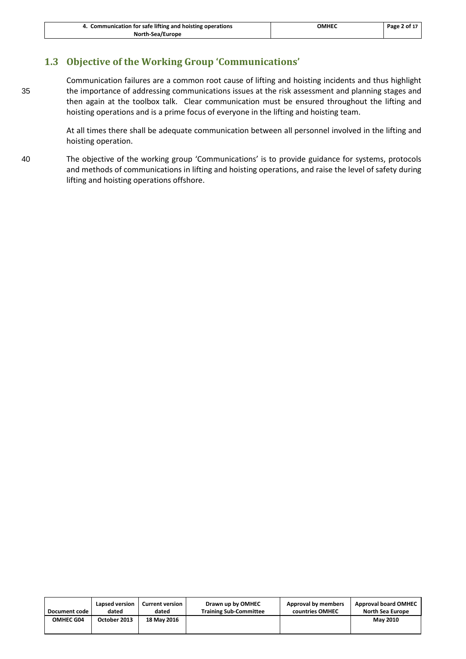# <span id="page-4-0"></span>**1.3 Objective of the Working Group 'Communications'**

Communication failures are a common root cause of lifting and hoisting incidents and thus highlight 35 the importance of addressing communications issues at the risk assessment and planning stages and then again at the toolbox talk. Clear communication must be ensured throughout the lifting and hoisting operations and is a prime focus of everyone in the lifting and hoisting team.

> At all times there shall be adequate communication between all personnel involved in the lifting and hoisting operation.

40 The objective of the working group 'Communications' is to provide guidance for systems, protocols and methods of communications in lifting and hoisting operations, and raise the level of safety during lifting and hoisting operations offshore.

| Document code    | Lapsed version | <b>Current version</b> | Drawn up by OMHEC             | Approval by members | <b>Approval board OMHEC</b> |
|------------------|----------------|------------------------|-------------------------------|---------------------|-----------------------------|
|                  | dated          | dated                  | <b>Training Sub-Committee</b> | countries OMHEC     | North Sea Europe            |
| <b>OMHEC G04</b> | October 2013   | 18 May 2016            |                               |                     | <b>May 2010</b>             |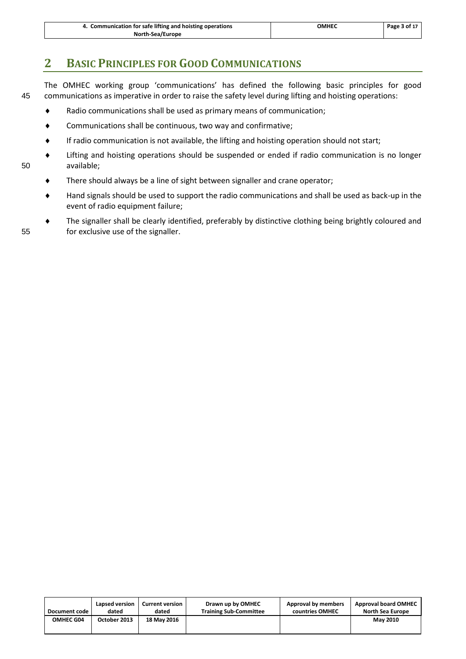| 4. Communication for safe lifting and hoisting operations | OMHEC | Page 3 of 17 |
|-----------------------------------------------------------|-------|--------------|
| North-Sea/Europe                                          |       |              |

# <span id="page-5-0"></span>**2 BASIC PRINCIPLES FOR GOOD COMMUNICATIONS**

The OMHEC working group 'communications' has defined the following basic principles for good 45 communications as imperative in order to raise the safety level during lifting and hoisting operations:

- Radio communications shall be used as primary means of communication;
- Communications shall be continuous, two way and confirmative;
- If radio communication is not available, the lifting and hoisting operation should not start;
- Lifting and hoisting operations should be suspended or ended if radio communication is no longer 50 available;
	- There should always be a line of sight between signaller and crane operator;
	- Hand signals should be used to support the radio communications and shall be used as back-up in the event of radio equipment failure;
- The signaller shall be clearly identified, preferably by distinctive clothing being brightly coloured and 55 for exclusive use of the signaller.

| Document code | Lapsed version | <b>Current version</b> | Drawn up by OMHEC             | Approval by members | <b>Approval board OMHEC</b> |
|---------------|----------------|------------------------|-------------------------------|---------------------|-----------------------------|
|               | dated          | dated                  | <b>Training Sub-Committee</b> | countries OMHEC     | North Sea Europe            |
| OMHEC G04     | October 2013   | 18 May 2016            |                               |                     | <b>May 2010</b>             |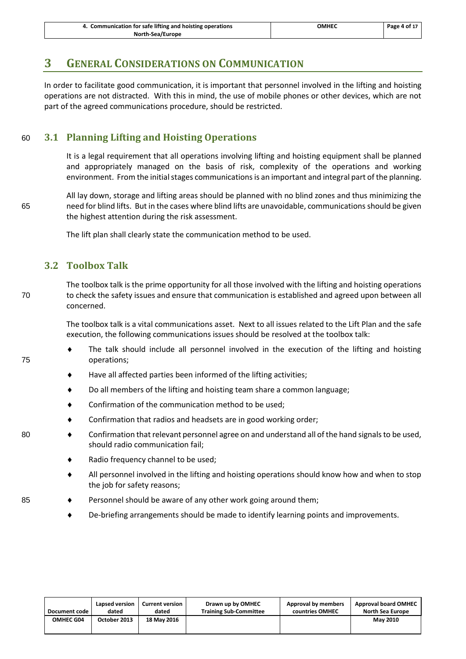| 4. Communication for safe lifting and hoisting operations | ОМНЕС | Page 4 of 17 |
|-----------------------------------------------------------|-------|--------------|
| North-Sea/Europe                                          |       |              |

# <span id="page-6-0"></span>**3 GENERAL CONSIDERATIONS ON COMMUNICATION**

In order to facilitate good communication, it is important that personnel involved in the lifting and hoisting operations are not distracted. With this in mind, the use of mobile phones or other devices, which are not part of the agreed communications procedure, should be restricted.

#### <span id="page-6-1"></span>60 **3.1 Planning Lifting and Hoisting Operations**

It is a legal requirement that all operations involving lifting and hoisting equipment shall be planned and appropriately managed on the basis of risk, complexity of the operations and working environment. From the initial stages communications is an important and integral part of the planning.

All lay down, storage and lifting areas should be planned with no blind zones and thus minimizing the 65 need for blind lifts. But in the cases where blind lifts are unavoidable, communications should be given the highest attention during the risk assessment.

The lift plan shall clearly state the communication method to be used.

#### <span id="page-6-2"></span>**3.2 Toolbox Talk**

The toolbox talk is the prime opportunity for all those involved with the lifting and hoisting operations 70 to check the safety issues and ensure that communication is established and agreed upon between all concerned.

> The toolbox talk is a vital communications asset. Next to all issues related to the Lift Plan and the safe execution, the following communications issues should be resolved at the toolbox talk:

- The talk should include all personnel involved in the execution of the lifting and hoisting 75 operations;
	- Have all affected parties been informed of the lifting activities;
	- Do all members of the lifting and hoisting team share a common language;
	- ◆ Confirmation of the communication method to be used;
	- Confirmation that radios and headsets are in good working order;
- 80 Confirmation that relevant personnel agree on and understand all of the hand signals to be used, should radio communication fail;
	- Radio frequency channel to be used;
	- All personnel involved in the lifting and hoisting operations should know how and when to stop the job for safety reasons;
- 85 Personnel should be aware of any other work going around them;
	- De-briefing arrangements should be made to identify learning points and improvements.

| Document code | Lapsed version | <b>Current version</b> | Drawn up by OMHEC             | Approval by members | <b>Approval board OMHEC</b> |
|---------------|----------------|------------------------|-------------------------------|---------------------|-----------------------------|
|               | dated          | dated                  | <b>Training Sub-Committee</b> | countries OMHEC     | <b>North Sea Europe</b>     |
| OMHEC G04     | October 2013   | 18 May 2016            |                               |                     | <b>May 2010</b>             |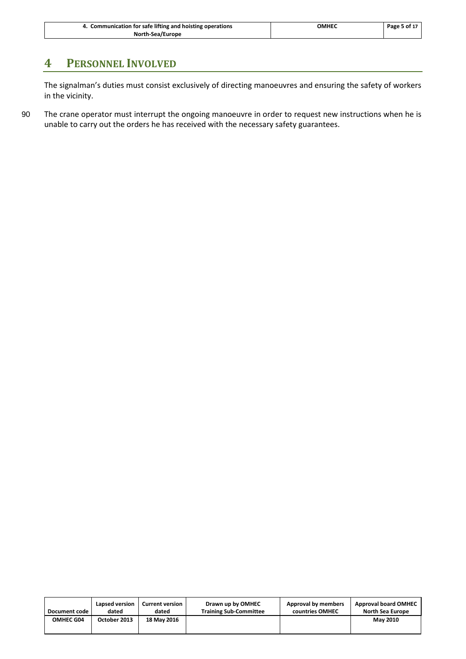| 4. Communication for safe lifting and hoisting operations | <b>OMHEC</b> | Page 5 of 17 |
|-----------------------------------------------------------|--------------|--------------|
| North-Sea/Europe                                          |              |              |

# <span id="page-7-0"></span>**4 PERSONNEL INVOLVED**

The signalman's duties must consist exclusively of directing manoeuvres and ensuring the safety of workers in the vicinity.

90 The crane operator must interrupt the ongoing manoeuvre in order to request new instructions when he is unable to carry out the orders he has received with the necessary safety guarantees.

| Document code | Lapsed version | <b>Current version</b> | Drawn up by OMHEC             | Approval by members | <b>Approval board OMHEC</b> |
|---------------|----------------|------------------------|-------------------------------|---------------------|-----------------------------|
|               | dated          | dated                  | <b>Training Sub-Committee</b> | countries OMHEC     | <b>North Sea Europe</b>     |
| OMHEC G04     | October 2013   | 18 May 2016            |                               |                     | <b>May 2010</b>             |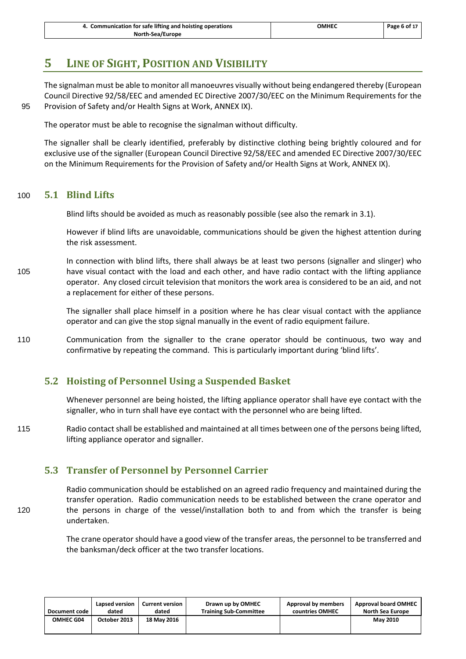# <span id="page-8-0"></span>**5 LINE OF SIGHT, POSITION AND VISIBILITY**

The signalman must be able to monitor all manoeuvres visually without being endangered thereby (European Council Directive 92/58/EEC and amended EC Directive 2007/30/EEC on the Minimum Requirements for the 95 Provision of Safety and/or Health Signs at Work, ANNEX IX).

The operator must be able to recognise the signalman without difficulty.

<span id="page-8-1"></span>The signaller shall be clearly identified, preferably by distinctive clothing being brightly coloured and for exclusive use of the signaller (European Council Directive 92/58/EEC and amended EC Directive 2007/30/EEC on the Minimum Requirements for the Provision of Safety and/or Health Signs at Work, ANNEX IX).

#### 100 **5.1 Blind Lifts**

Blind lifts should be avoided as much as reasonably possible (see also the remark i[n 3.1\)](#page-6-1).

However if blind lifts are unavoidable, communications should be given the highest attention during the risk assessment.

In connection with blind lifts, there shall always be at least two persons (signaller and slinger) who 105 have visual contact with the load and each other, and have radio contact with the lifting appliance operator. Any closed circuit television that monitors the work area is considered to be an aid, and not a replacement for either of these persons.

> The signaller shall place himself in a position where he has clear visual contact with the appliance operator and can give the stop signal manually in the event of radio equipment failure.

110 Communication from the signaller to the crane operator should be continuous, two way and confirmative by repeating the command. This is particularly important during 'blind lifts'.

#### <span id="page-8-2"></span>**5.2 Hoisting of Personnel Using a Suspended Basket**

Whenever personnel are being hoisted, the lifting appliance operator shall have eye contact with the signaller, who in turn shall have eye contact with the personnel who are being lifted.

115 Radio contact shall be established and maintained at all times between one of the persons being lifted, lifting appliance operator and signaller.

#### <span id="page-8-3"></span>**5.3 Transfer of Personnel by Personnel Carrier**

Radio communication should be established on an agreed radio frequency and maintained during the transfer operation. Radio communication needs to be established between the crane operator and 120 the persons in charge of the vessel/installation both to and from which the transfer is being undertaken.

> The crane operator should have a good view of the transfer areas, the personnel to be transferred and the banksman/deck officer at the two transfer locations.

| Document code    | Lapsed version | <b>Current version</b> | Drawn up by OMHEC             | Approval by members | <b>Approval board OMHEC</b> |
|------------------|----------------|------------------------|-------------------------------|---------------------|-----------------------------|
|                  | dated          | dated                  | <b>Training Sub-Committee</b> | countries OMHEC     | <b>North Sea Europe</b>     |
| <b>OMHEC G04</b> | October 2013   | 18 May 2016            |                               |                     | <b>May 2010</b>             |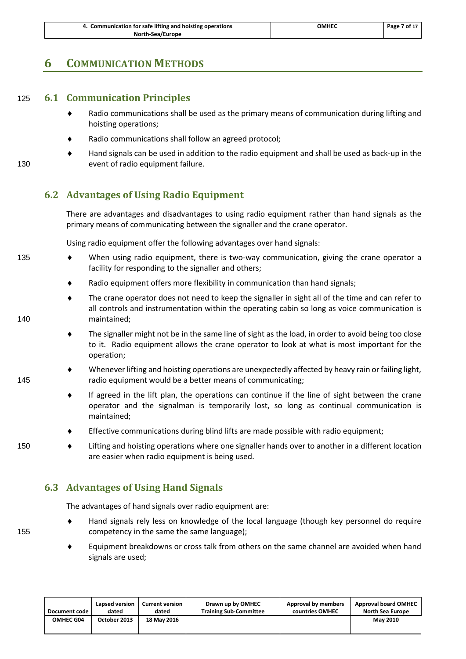| 4. Communication for safe lifting and hoisting operations | омнес | Page 7 of 17 |
|-----------------------------------------------------------|-------|--------------|
| North-Sea/Europe                                          |       |              |

#### <span id="page-9-1"></span><span id="page-9-0"></span>**6 COMMUNICATION METHODS**

#### 125 **6.1 Communication Principles**

- Radio communications shall be used as the primary means of communication during lifting and hoisting operations;
- Radio communications shall follow an agreed protocol;
- Hand signals can be used in addition to the radio equipment and shall be used as back-up in the 130 event of radio equipment failure.

#### <span id="page-9-2"></span>**6.2 Advantages of Using Radio Equipment**

There are advantages and disadvantages to using radio equipment rather than hand signals as the primary means of communicating between the signaller and the crane operator.

Using radio equipment offer the following advantages over hand signals:

- 135 When using radio equipment, there is two-way communication, giving the crane operator a facility for responding to the signaller and others;
	- Radio equipment offers more flexibility in communication than hand signals;
- The crane operator does not need to keep the signaller in sight all of the time and can refer to all controls and instrumentation within the operating cabin so long as voice communication is 140 maintained;
	- The signaller might not be in the same line of sight as the load, in order to avoid being too close to it. Radio equipment allows the crane operator to look at what is most important for the operation;
- Whenever lifting and hoisting operations are unexpectedly affected by heavy rain or failing light, 145 radio equipment would be a better means of communicating;
	- If agreed in the lift plan, the operations can continue if the line of sight between the crane operator and the signalman is temporarily lost, so long as continual communication is maintained;
	- Effective communications during blind lifts are made possible with radio equipment;
- 150 Lifting and hoisting operations where one signaller hands over to another in a different location are easier when radio equipment is being used.

#### <span id="page-9-3"></span>**6.3 Advantages of Using Hand Signals**

The advantages of hand signals over radio equipment are:

- Hand signals rely less on knowledge of the local language (though key personnel do require 155 competency in the same the same language);
	- Equipment breakdowns or cross talk from others on the same channel are avoided when hand signals are used;

| Document code | Lapsed version | Current version | Drawn up by OMHEC             | Approval by members | <b>Approval board OMHEC</b> |
|---------------|----------------|-----------------|-------------------------------|---------------------|-----------------------------|
|               | dated          | dated           | <b>Training Sub-Committee</b> | countries OMHEC     | <b>North Sea Europe</b>     |
| OMHEC G04     | October 2013   | 18 May 2016     |                               |                     | <b>May 2010</b>             |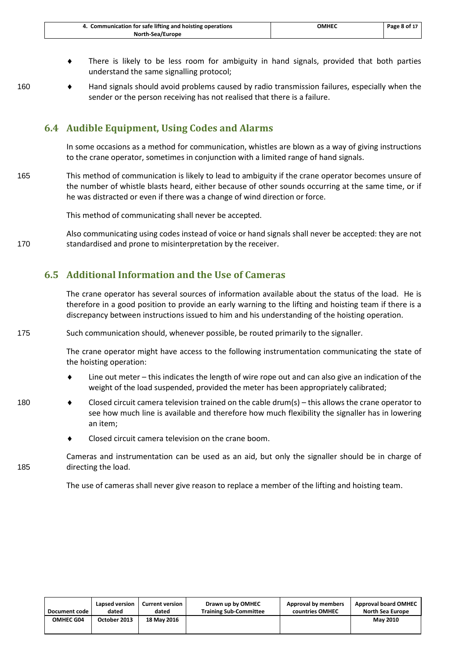| 4. Communication for safe lifting and hoisting operations | омнес | Page 8 of 17 |
|-----------------------------------------------------------|-------|--------------|
| North-Sea/Europe                                          |       |              |

- There is likely to be less room for ambiguity in hand signals, provided that both parties understand the same signalling protocol;
- 
- 160 Hand signals should avoid problems caused by radio transmission failures, especially when the sender or the person receiving has not realised that there is a failure.

#### <span id="page-10-0"></span>**6.4 Audible Equipment, Using Codes and Alarms**

In some occasions as a method for communication, whistles are blown as a way of giving instructions to the crane operator, sometimes in conjunction with a limited range of hand signals.

165 This method of communication is likely to lead to ambiguity if the crane operator becomes unsure of the number of whistle blasts heard, either because of other sounds occurring at the same time, or if he was distracted or even if there was a change of wind direction or force.

This method of communicating shall never be accepted.

Also communicating using codes instead of voice or hand signals shall never be accepted: they are not 170 standardised and prone to misinterpretation by the receiver.

#### <span id="page-10-1"></span>**6.5 Additional Information and the Use of Cameras**

The crane operator has several sources of information available about the status of the load. He is therefore in a good position to provide an early warning to the lifting and hoisting team if there is a discrepancy between instructions issued to him and his understanding of the hoisting operation.

175 Such communication should, whenever possible, be routed primarily to the signaller.

The crane operator might have access to the following instrumentation communicating the state of the hoisting operation:

- Line out meter this indicates the length of wire rope out and can also give an indication of the weight of the load suspended, provided the meter has been appropriately calibrated;
- 180  $\bullet$  Closed circuit camera television trained on the cable drum(s) this allows the crane operator to see how much line is available and therefore how much flexibility the signaller has in lowering an item;
	- Closed circuit camera television on the crane boom.

Cameras and instrumentation can be used as an aid, but only the signaller should be in charge of 185 directing the load.

The use of cameras shall never give reason to replace a member of the lifting and hoisting team.

| Document code    | Lapsed version | <b>Current version</b> | Drawn up by OMHEC             | Approval by members | <b>Approval board OMHEC</b> |
|------------------|----------------|------------------------|-------------------------------|---------------------|-----------------------------|
|                  | dated          | dated                  | <b>Training Sub-Committee</b> | countries OMHEC     | <b>North Sea Europe</b>     |
| <b>OMHEC G04</b> | October 2013   | 18 May 2016            |                               |                     | <b>May 2010</b>             |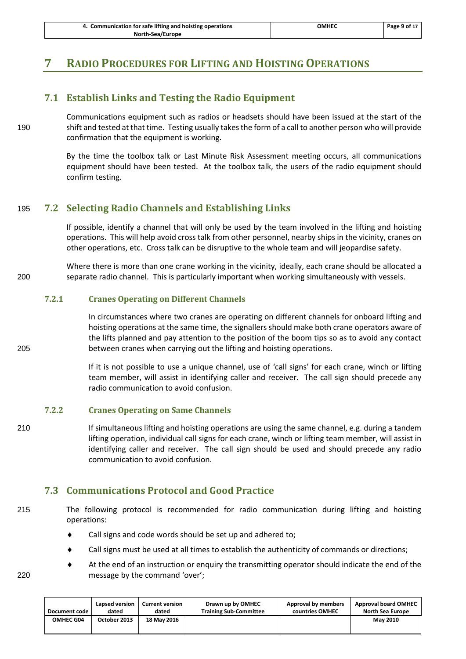| 4. Communication for safe lifting and hoisting operations | омнес | Page 9 of 17 |
|-----------------------------------------------------------|-------|--------------|
| North-Sea/Europe                                          |       |              |

# <span id="page-11-1"></span><span id="page-11-0"></span>**7 RADIO PROCEDURES FOR LIFTING AND HOISTING OPERATIONS**

#### **7.1 Establish Links and Testing the Radio Equipment**

Communications equipment such as radios or headsets should have been issued at the start of the 190 shift and tested at that time. Testing usually takes the form of a call to another person who will provide confirmation that the equipment is working.

> By the time the toolbox talk or Last Minute Risk Assessment meeting occurs, all communications equipment should have been tested. At the toolbox talk, the users of the radio equipment should confirm testing.

#### <span id="page-11-2"></span>195 **7.2 Selecting Radio Channels and Establishing Links**

If possible, identify a channel that will only be used by the team involved in the lifting and hoisting operations. This will help avoid cross talk from other personnel, nearby ships in the vicinity, cranes on other operations, etc. Cross talk can be disruptive to the whole team and will jeopardise safety.

Where there is more than one crane working in the vicinity, ideally, each crane should be allocated a 200 separate radio channel. This is particularly important when working simultaneously with vessels.

#### **7.2.1 Cranes Operating on Different Channels**

In circumstances where two cranes are operating on different channels for onboard lifting and hoisting operations at the same time, the signallers should make both crane operators aware of the lifts planned and pay attention to the position of the boom tips so as to avoid any contact 205 between cranes when carrying out the lifting and hoisting operations.

> If it is not possible to use a unique channel, use of 'call signs' for each crane, winch or lifting team member, will assist in identifying caller and receiver. The call sign should precede any radio communication to avoid confusion.

#### **7.2.2 Cranes Operating on Same Channels**

210 If simultaneous lifting and hoisting operations are using the same channel, e.g. during a tandem lifting operation, individual call signs for each crane, winch or lifting team member, will assist in identifying caller and receiver. The call sign should be used and should precede any radio communication to avoid confusion.

#### <span id="page-11-3"></span>**7.3 Communications Protocol and Good Practice**

215 The following protocol is recommended for radio communication during lifting and hoisting operations:

- Call signs and code words should be set up and adhered to;
- Call signs must be used at all times to establish the authenticity of commands or directions;
- At the end of an instruction or enquiry the transmitting operator should indicate the end of the message by the command 'over';

|  | I |
|--|---|
|  |   |

| <b>Document code</b> | Lapsed version | <b>Current version</b> | Drawn up by OMHEC             | Approval by members | <b>Approval board OMHEC</b> |
|----------------------|----------------|------------------------|-------------------------------|---------------------|-----------------------------|
|                      | dated          | dated                  | <b>Training Sub-Committee</b> | countries OMHEC     | <b>North Sea Europe</b>     |
| OMHEC G04            | October 2013   | 18 May 2016            |                               |                     | <b>May 2010</b>             |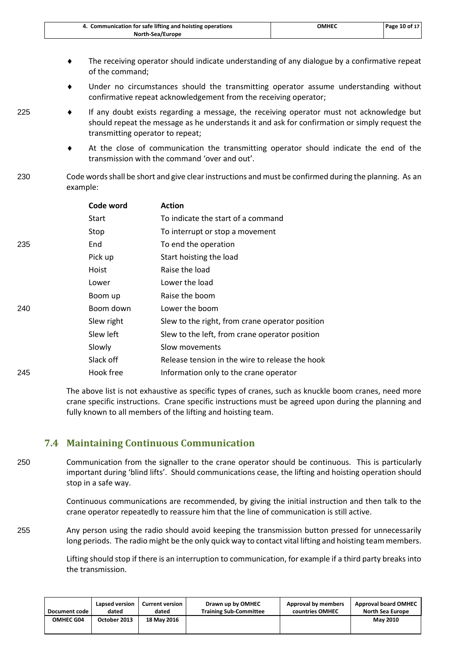| 4. Communication for safe lifting and hoisting operations | омнес | Page 10 of 17 |
|-----------------------------------------------------------|-------|---------------|
| North-Sea/Europe                                          |       |               |

- The receiving operator should indicate understanding of any dialogue by a confirmative repeat of the command;
- Under no circumstances should the transmitting operator assume understanding without confirmative repeat acknowledgement from the receiving operator;
- 
- $225$   $\bullet$  If any doubt exists regarding a message, the receiving operator must not acknowledge but should repeat the message as he understands it and ask for confirmation or simply request the transmitting operator to repeat;
	- At the close of communication the transmitting operator should indicate the end of the transmission with the command 'over and out'.
- 230 Code words shall be short and give clear instructions and must be confirmed during the planning. As an example:

|     | Code word  | <b>Action</b>                                   |
|-----|------------|-------------------------------------------------|
|     | Start      | To indicate the start of a command              |
|     | Stop       | To interrupt or stop a movement                 |
| 235 | End        | To end the operation                            |
|     | Pick up    | Start hoisting the load                         |
|     | Hoist      | Raise the load                                  |
|     | Lower      | Lower the load                                  |
|     | Boom up    | Raise the boom                                  |
| 240 | Boom down  | Lower the boom                                  |
|     | Slew right | Slew to the right, from crane operator position |
|     | Slew left  | Slew to the left, from crane operator position  |
|     | Slowly     | Slow movements                                  |
|     | Slack off  | Release tension in the wire to release the hook |
| 245 | Hook free  | Information only to the crane operator          |

The above list is not exhaustive as specific types of cranes, such as knuckle boom cranes, need more crane specific instructions. Crane specific instructions must be agreed upon during the planning and fully known to all members of the lifting and hoisting team.

#### <span id="page-12-0"></span>**7.4 Maintaining Continuous Communication**

250 Communication from the signaller to the crane operator should be continuous. This is particularly important during 'blind lifts'. Should communications cease, the lifting and hoisting operation should stop in a safe way.

> Continuous communications are recommended, by giving the initial instruction and then talk to the crane operator repeatedly to reassure him that the line of communication is still active.

255 Any person using the radio should avoid keeping the transmission button pressed for unnecessarily long periods. The radio might be the only quick way to contact vital lifting and hoisting team members.

> Lifting should stop if there is an interruption to communication, for example if a third party breaks into the transmission.

| Document code | Lapsed version | <b>Current version</b> | Drawn up by OMHEC             | Approval by members | <b>Approval board OMHEC</b> |
|---------------|----------------|------------------------|-------------------------------|---------------------|-----------------------------|
|               | dated          | dated                  | <b>Training Sub-Committee</b> | countries OMHEC     | <b>North Sea Europe</b>     |
| OMHEC G04     | October 2013   | 18 May 2016            |                               |                     | <b>May 2010</b>             |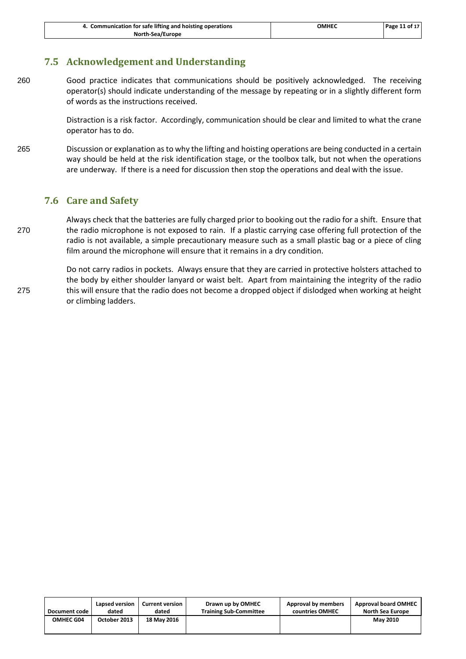| 4. Communication for safe lifting and hoisting operations | омнес | Page 11 of 17 |
|-----------------------------------------------------------|-------|---------------|
| North-Sea/Europe                                          |       |               |

#### <span id="page-13-0"></span>**7.5 Acknowledgement and Understanding**

260 Good practice indicates that communications should be positively acknowledged. The receiving operator(s) should indicate understanding of the message by repeating or in a slightly different form of words as the instructions received.

> Distraction is a risk factor. Accordingly, communication should be clear and limited to what the crane operator has to do.

265 Discussion or explanation as to why the lifting and hoisting operations are being conducted in a certain way should be held at the risk identification stage, or the toolbox talk, but not when the operations are underway. If there is a need for discussion then stop the operations and deal with the issue.

#### <span id="page-13-1"></span>**7.6 Care and Safety**

Always check that the batteries are fully charged prior to booking out the radio for a shift. Ensure that 270 the radio microphone is not exposed to rain. If a plastic carrying case offering full protection of the radio is not available, a simple precautionary measure such as a small plastic bag or a piece of cling film around the microphone will ensure that it remains in a dry condition.

Do not carry radios in pockets. Always ensure that they are carried in protective holsters attached to the body by either shoulder lanyard or waist belt. Apart from maintaining the integrity of the radio 275 this will ensure that the radio does not become a dropped object if dislodged when working at height or climbing ladders.

| Document code | Lapsed version | <b>Current version</b> | Drawn up by OMHEC             | Approval by members | <b>Approval board OMHEC</b> |
|---------------|----------------|------------------------|-------------------------------|---------------------|-----------------------------|
|               | dated          | dated                  | <b>Training Sub-Committee</b> | countries OMHEC     | North Sea Europe            |
| OMHEC G04     | October 2013   | 18 May 2016            |                               |                     | <b>May 2010</b>             |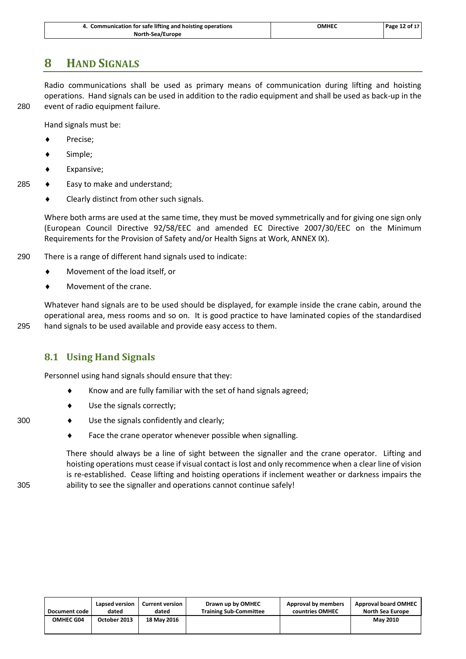| 4. Communication for safe lifting and hoisting operations | омнес | Page 12 of 17 |
|-----------------------------------------------------------|-------|---------------|
| North-Sea/Europe                                          |       |               |

# <span id="page-14-0"></span>**8 HAND SIGNALS**

Radio communications shall be used as primary means of communication during lifting and hoisting operations. Hand signals can be used in addition to the radio equipment and shall be used as back-up in the 280 event of radio equipment failure.

Hand signals must be:

- Precise;
- Simple;
- Expansive;
- 285  $\leftrightarrow$  Easy to make and understand;
	- ◆ Clearly distinct from other such signals.

Where both arms are used at the same time, they must be moved symmetrically and for giving one sign only (European Council Directive 92/58/EEC and amended EC Directive 2007/30/EEC on the Minimum Requirements for the Provision of Safety and/or Health Signs at Work, ANNEX IX).

- 290 There is a range of different hand signals used to indicate:
	- Movement of the load itself, or
	- Movement of the crane.

Whatever hand signals are to be used should be displayed, for example inside the crane cabin, around the operational area, mess rooms and so on. It is good practice to have laminated copies of the standardised 295 hand signals to be used available and provide easy access to them.

#### <span id="page-14-1"></span>**8.1 Using Hand Signals**

Personnel using hand signals should ensure that they:

- $\bullet$  Know and are fully familiar with the set of hand signals agreed;
- Use the signals correctly;
- 300 Use the signals confidently and clearly;
	- Face the crane operator whenever possible when signalling.

There should always be a line of sight between the signaller and the crane operator. Lifting and hoisting operations must cease if visual contact is lost and only recommence when a clear line of vision is re-established. Cease lifting and hoisting operations if inclement weather or darkness impairs the 305 ability to see the signaller and operations cannot continue safely!

| Document code    | Lapsed version | <b>Current version</b> | Drawn up by OMHEC             | Approval by members | <b>Approval board OMHEC</b> |
|------------------|----------------|------------------------|-------------------------------|---------------------|-----------------------------|
|                  | dated          | dated                  | <b>Training Sub-Committee</b> | countries OMHEC     | <b>North Sea Europe</b>     |
| <b>OMHEC G04</b> | October 2013   | <b>18 May 2016</b>     |                               |                     | <b>May 2010</b>             |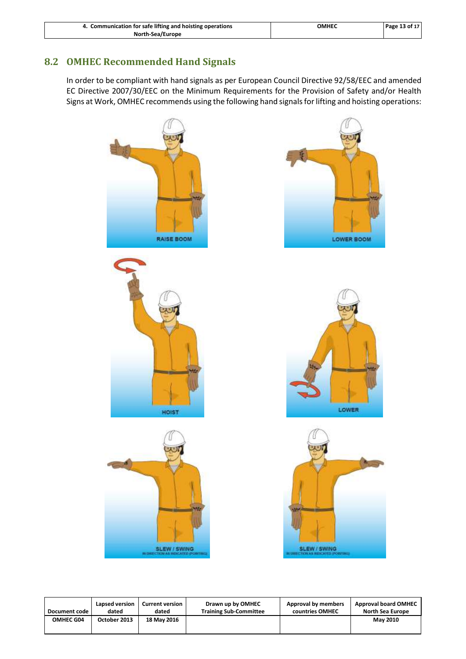| 4. Communication for safe lifting and hoisting operations | ОМНЕС | Page 13 of 17 |
|-----------------------------------------------------------|-------|---------------|
| North-Sea/Europe                                          |       |               |

#### <span id="page-15-0"></span>**8.2 OMHEC Recommended Hand Signals**

In order to be compliant with hand signals as per European Council Directive 92/58/EEC and amended EC Directive 2007/30/EEC on the Minimum Requirements for the Provision of Safety and/or Health Signs at Work, OMHEC recommends using the following hand signals for lifting and hoisting operations:



**Document code Lapsed version dated Current version dated Drawn up by OMHEC Training Sub-Committee Approval by members countries OMHEC Approval board OMHEC North Sea Europe OMHEC G04 October 2013 18 May 2016 May 2010**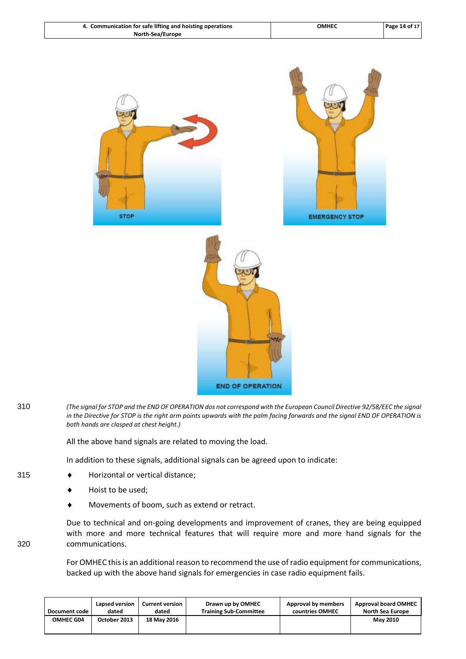| 4. Communication for safe lifting and hoisting operations | <b>OMHEC</b> | Page 14 of 17 |
|-----------------------------------------------------------|--------------|---------------|
| North-Sea/Europe                                          |              |               |



310 *(The signal for STOP and the END OF OPERATION dos not correspond with the European Council Directive 92/58/EEC the signal in the Directive for STOP is the right arm points upwards with the palm facing forwards and the signal END OF OPERATION is both hands are clasped at chest height.)*

All the above hand signals are related to moving the load.

In addition to these signals, additional signals can be agreed upon to indicate:

- 315 **+ Horizontal or vertical distance;** 
	- Hoist to be used;
	- Movements of boom, such as extend or retract.

Due to technical and on-going developments and improvement of cranes, they are being equipped with more and more technical features that will require more and more hand signals for the 320 communications.

> For OMHEC this is an additional reason to recommend the use of radio equipment for communications, backed up with the above hand signals for emergencies in case radio equipment fails.

| Document code | Lapsed version | <b>Current version</b> | Drawn up by OMHEC             | Approval by members | <b>Approval board OMHEC</b> |
|---------------|----------------|------------------------|-------------------------------|---------------------|-----------------------------|
|               | dated          | dated                  | <b>Training Sub-Committee</b> | countries OMHEC     | <b>North Sea Europe</b>     |
| OMHEC G04     | October 2013   | 18 May 2016            |                               |                     | <b>May 2010</b>             |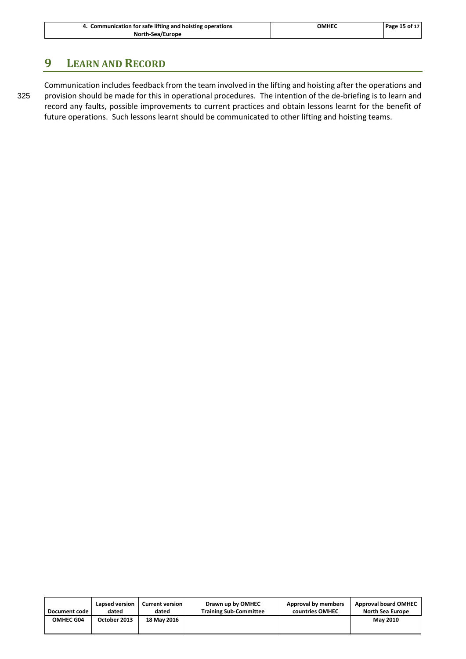| 4. Communication for safe lifting and hoisting operations | ОМНЕС | Page 15 of 17 |
|-----------------------------------------------------------|-------|---------------|
| North-Sea/Europe                                          |       |               |

# <span id="page-17-0"></span>**9 LEARN AND RECORD**

Communication includes feedback from the team involved in the lifting and hoisting after the operations and 325 provision should be made for this in operational procedures. The intention of the de-briefing is to learn and record any faults, possible improvements to current practices and obtain lessons learnt for the benefit of future operations. Such lessons learnt should be communicated to other lifting and hoisting teams.

| Document code | Lapsed version | <b>Current version</b> | Drawn up by OMHEC             | Approval by members | <b>Approval board OMHEC</b> |
|---------------|----------------|------------------------|-------------------------------|---------------------|-----------------------------|
|               | dated          | dated                  | <b>Training Sub-Committee</b> | countries OMHEC     | North Sea Europe            |
| OMHEC G04     | October 2013   | 18 May 2016            |                               |                     | <b>May 2010</b>             |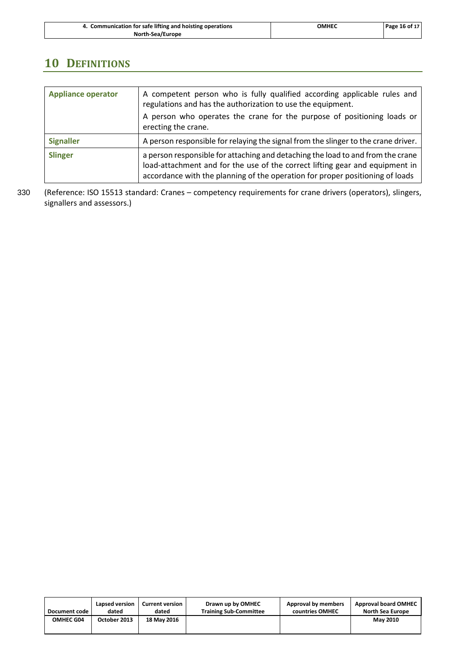| 4. Communication for safe lifting and hoisting operations | ОМНЕС | Page 16 of 17 |
|-----------------------------------------------------------|-------|---------------|
| North-Sea/Europe                                          |       |               |

# <span id="page-18-0"></span>**10 DEFINITIONS**

| <b>Appliance operator</b> | A competent person who is fully qualified according applicable rules and<br>regulations and has the authorization to use the equipment.<br>A person who operates the crane for the purpose of positioning loads or<br>erecting the crane.        |
|---------------------------|--------------------------------------------------------------------------------------------------------------------------------------------------------------------------------------------------------------------------------------------------|
| <b>Signaller</b>          | A person responsible for relaying the signal from the slinger to the crane driver.                                                                                                                                                               |
| <b>Slinger</b>            | a person responsible for attaching and detaching the load to and from the crane<br>load-attachment and for the use of the correct lifting gear and equipment in<br>accordance with the planning of the operation for proper positioning of loads |

330 (Reference: ISO 15513 standard: Cranes – competency requirements for crane drivers (operators), slingers, signallers and assessors.)

| Document code | Lapsed version | <b>Current version</b> | Drawn up by OMHEC             | Approval by members | <b>Approval board OMHEC</b> |
|---------------|----------------|------------------------|-------------------------------|---------------------|-----------------------------|
|               | dated          | dated                  | <b>Training Sub-Committee</b> | countries OMHEC     | North Sea Europe            |
| OMHEC G04     | October 2013   | 18 May 2016            |                               |                     | <b>May 2010</b>             |